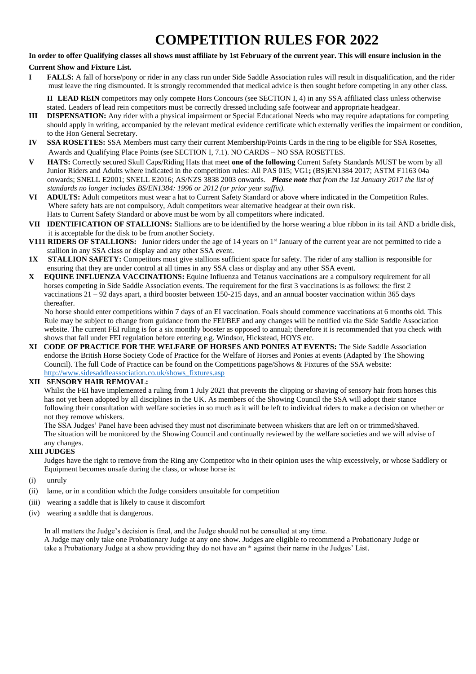# **COMPETITION RULES FOR 2022**

### **In order to offer Qualifying classes all shows must affiliate by 1st February of the current year. This will ensure inclusion in the**

### **Current Show and Fixture List.**

**I FALLS:** A fall of horse/pony or rider in any class run under Side Saddle Association rules will result in disqualification, and the rider must leave the ring dismounted. It is strongly recommended that medical advice is then sought before competing in any other class.

**II LEAD REIN** competitors may only compete Hors Concours (see SECTION I, 4) in any SSA affiliated class unless otherwise stated. Leaders of lead rein competitors must be correctly dressed including safe footwear and appropriate headgear.

- **III DISPENSATION:** Any rider with a physical impairment or Special Educational Needs who may require adaptations for competing should apply in writing, accompanied by the relevant medical evidence certificate which externally verifies the impairment or condition, to the Hon General Secretary.
- **IV SSA ROSETTES:** SSA Members must carry their current Membership/Points Cards in the ring to be eligible for SSA Rosettes, Awards and Qualifying Place Points (see SECTION I, 7.1). NO CARDS – NO SSA ROSETTES.
- **V HATS:** Correctly secured Skull Caps/Riding Hats that meet **one of the following** Current Safety Standards MUST be worn by all Junior Riders and Adults where indicated in the competition rules: All PAS 015; VG1**;** (BS)EN1384 2017; ASTM F1163 04a onwards; SNELL E2001; SNELL E2016; AS/NZS 3838 2003 onwards. *Please note that from the 1st January 2017 the list of standards no longer includes BS/EN1384: 1996 or 2012 (or prior year suffix).*<br> **VI ADILTS:** Adult competitors must wear a hat to Current Safety Standard or ab
- **VI ADULTS:** Adult competitors must wear a hat to Current Safety Standard or above where indicated in the Competition Rules. Where safety hats are not compulsory, Adult competitors wear alternative headgear at their own risk. Hats to Current Safety Standard or above must be worn by all competitors where indicated.
- **VII IDENTIFICATION OF STALLIONS:** Stallions are to be identified by the horse wearing a blue ribbon in its tail AND a bridle disk, it is acceptable for the disk to be from another Society.
- **V111 RIDERS OF STALLIONS:** Junior riders under the age of 14 years on 1<sup>st</sup> January of the current year are not permitted to ride a stallion in any SSA class or display and any other SSA event.
- **1X STALLION SAFETY:** Competitors must give stallions sufficient space for safety. The rider of any stallion is responsible for ensuring that they are under control at all times in any SSA class or display and any other SSA event.
- **X EQUINE INFLUENZA VACCINATIONS:** Equine Influenza and Tetanus vaccinations are a compulsory requirement for all horses competing in Side Saddle Association events. The requirement for the first 3 vaccinations is as follows: the first 2 vaccinations 21 – 92 days apart, a third booster between 150-215 days, and an annual booster vaccination within 365 days thereafter.

 No horse should enter competitions within 7 days of an EI vaccination. Foals should commence vaccinations at 6 months old. This Rule may be subject to change from guidance from the FEI/BEF and any changes will be notified via the Side Saddle Association website. The current FEI ruling is for a six monthly booster as opposed to annual; therefore it is recommended that you check with shows that fall under FEI regulation before entering e.g. Windsor, Hickstead, HOYS etc.

**XI CODE OF PRACTICE FOR THE WELFARE OF HORSES AND PONIES AT EVENTS:** The Side Saddle Association endorse the British Horse Society Code of Practice for the Welfare of Horses and Ponies at events (Adapted by The Showing Council). The full Code of Practice can be found on the Competitions page/Shows & Fixtures of the SSA website: [http://www.sidesaddleassociation.co.uk/shows\\_fixtures.asp](http://www.sidesaddleassociation.co.uk/shows_fixtures.asp)

# **XII SENSORY HAIR REMOVAL:**

 Whilst the FEI have implemented a ruling from 1 July 2021 that prevents the clipping or shaving of sensory hair from horses this has not yet been adopted by all disciplines in the UK. As members of the Showing Council the SSA will adopt their stance following their consultation with welfare societies in so much as it will be left to individual riders to make a decision on whether or not they remove whiskers.

 The SSA Judges' Panel have been advised they must not discriminate between whiskers that are left on or trimmed/shaved. The situation will be monitored by the Showing Council and continually reviewed by the welfare societies and we will advise of any changes.

### **XIII JUDGES**

 Judges have the right to remove from the Ring any Competitor who in their opinion uses the whip excessively, or whose Saddlery or Equipment becomes unsafe during the class, or whose horse is:

- (i) unruly
- (ii) lame, or in a condition which the Judge considers unsuitable for competition
- (iii) wearing a saddle that is likely to cause it discomfort
- (iv) wearing a saddle that is dangerous.

 In all matters the Judge's decision is final, and the Judge should not be consulted at any time. A Judge may only take one Probationary Judge at any one show. Judges are eligible to recommend a Probationary Judge or take a Probationary Judge at a show providing they do not have an \* against their name in the Judges' List.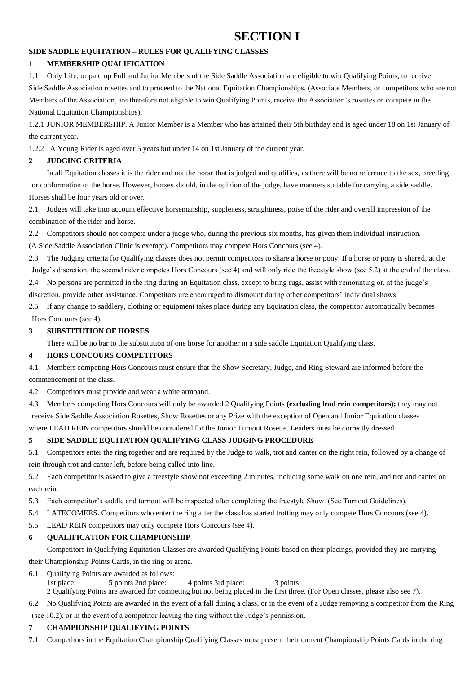# **SECTION I**

# **SIDE SADDLE EQUITATION – RULES FOR QUALIFYING CLASSES**

# **1 MEMBERSHIP QUALIFICATION**

1.1 Only Life, or paid up Full and Junior Members of the Side Saddle Association are eligible to win Qualifying Points, to receive Side Saddle Association rosettes and to proceed to the National Equitation Championships. (Associate Members, or competitors who are not Members of the Association, are therefore not eligible to win Qualifying Points, receive the Association's rosettes or compete in the National Equitation Championships).

1.2.1 JUNIOR MEMBERSHIP. A Junior Member is a Member who has attained their 5th birthday and is aged under 18 on 1st January of the current year.

1.2.2 A Young Rider is aged over 5 years but under 14 on 1st January of the current year.

# **2 JUDGING CRITERIA**

In all Equitation classes it is the rider and not the horse that is judged and qualifies, as there will be no reference to the sex, breeding or conformation of the horse. However, horses should, in the opinion of the judge, have manners suitable for carrying a side saddle. Horses shall be four years old or over.

2.1 Judges will take into account effective horsemanship, suppleness, straightness, poise of the rider and overall impression of the combination of the rider and horse.

2.2 Competitors should not compete under a judge who, during the previous six months, has given them individual instruction.

(A Side Saddle Association Clinic is exempt). Competitors may compete Hors Concours (see 4).

2.3 The Judging criteria for Qualifying classes does not permit competitors to share a horse or pony. If a horse or pony is shared, at the Judge's discretion, the second rider competes Hors Concours (see 4) and will only ride the freestyle show (see 5.2) at the end of the class.

2.4 No persons are permitted in the ring during an Equitation class, except to bring rugs, assist with remounting or, at the judge's discretion, provide other assistance. Competitors are encouraged to dismount during other competitors' individual shows.

2.5 If any change to saddlery, clothing or equipment takes place during any Equitation class, the competitor automatically becomes Hors Concours (see 4).

# **3 SUBSTITUTION OF HORSES**

There will be no bar to the substitution of one horse for another in a side saddle Equitation Qualifying class.

# **4 HORS CONCOURS COMPETITORS**

4.1 Members competing Hors Concours must ensure that the Show Secretary, Judge, and Ring Steward are informed before the commencement of the class.

4.2 Competitors must provide and wear a white armband.

4.3 Members competing Hors Concours will only be awarded 2 Qualifying Points **(excluding lead rein competitors);** they may not receive Side Saddle Association Rosettes, Show Rosettes or any Prize with the exception of Open and Junior Equitation classes

where LEAD REIN competitors should be considered for the Junior Turnout Rosette. Leaders must be correctly dressed.

# **5 SIDE SADDLE EQUITATION QUALIFYING CLASS JUDGING PROCEDURE**

5.1 Competitors enter the ring together and are required by the Judge to walk, trot and canter on the right rein, followed by a change of rein through trot and canter left, before being called into line.

5.2 Each competitor is asked to give a freestyle show not exceeding 2 minutes, including some walk on one rein, and trot and canter on each rein.

5.3 Each competitor's saddle and turnout will be inspected after completing the freestyle Show. (See Turnout Guidelines).

- 5.4 LATECOMERS. Competitors who enter the ring after the class has started trotting may only compete Hors Concours (see 4).
- 5.5 LEAD REIN competitors may only compete Hors Concours (see 4).

# **6 QUALIFICATION FOR CHAMPIONSHIP**

Competitors in Qualifying Equitation Classes are awarded Qualifying Points based on their placings, provided they are carrying

their Championship Points Cards, in the ring or arena.

6.1 Qualifying Points are awarded as follows: 1st place: 5 points 2nd place: 4 points 3rd place: 3 points 2 Qualifying Points are awarded for competing but not being placed in the first three. (For Open classes, please also see 7).

6.2 No Qualifying Points are awarded in the event of a fall during a class, or in the event of a Judge removing a competitor from the Ring

(see 10.2), or in the event of a competitor leaving the ring without the Judge's permission.

# **7 CHAMPIONSHIP QUALIFYING POINTS**

7.1 Competitors in the Equitation Championship Qualifying Classes must present their current Championship Points Cards in the ring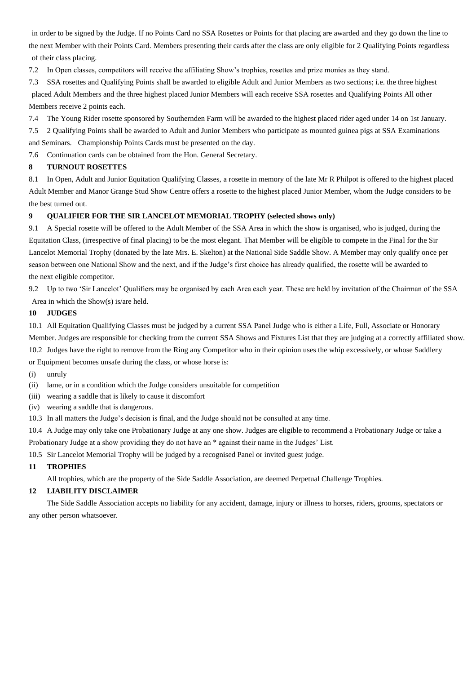in order to be signed by the Judge. If no Points Card no SSA Rosettes or Points for that placing are awarded and they go down the line to the next Member with their Points Card. Members presenting their cards after the class are only eligible for 2 Qualifying Points regardless of their class placing.

7.2 In Open classes, competitors will receive the affiliating Show's trophies, rosettes and prize monies as they stand.

7.3 SSA rosettes and Qualifying Points shall be awarded to eligible Adult and Junior Members as two sections; i.e. the three highest placed Adult Members and the three highest placed Junior Members will each receive SSA rosettes and Qualifying Points All other Members receive 2 points each.

7.4 The Young Rider rosette sponsored by Southernden Farm will be awarded to the highest placed rider aged under 14 on 1st January.

7.5 2 Qualifying Points shall be awarded to Adult and Junior Members who participate as mounted guinea pigs at SSA Examinations

and Seminars. Championship Points Cards must be presented on the day.

7.6 Continuation cards can be obtained from the Hon. General Secretary.

# **8 TURNOUT ROSETTES**

8.1 In Open, Adult and Junior Equitation Qualifying Classes, a rosette in memory of the late Mr R Philpot is offered to the highest placed Adult Member and Manor Grange Stud Show Centre offers a rosette to the highest placed Junior Member, whom the Judge considers to be the best turned out.

# **9 QUALIFIER FOR THE SIR LANCELOT MEMORIAL TROPHY (selected shows only)**

9.1 A Special rosette will be offered to the Adult Member of the SSA Area in which the show is organised, who is judged, during the Equitation Class, (irrespective of final placing) to be the most elegant. That Member will be eligible to compete in the Final for the Sir Lancelot Memorial Trophy (donated by the late Mrs. E. Skelton) at the National Side Saddle Show. A Member may only qualify once per season between one National Show and the next, and if the Judge's first choice has already qualified, the rosette will be awarded to the next eligible competitor.

9.2 Up to two 'Sir Lancelot' Qualifiers may be organised by each Area each year. These are held by invitation of the Chairman of the SSA Area in which the Show(s) is/are held.

# **10 JUDGES**

10.1 All Equitation Qualifying Classes must be judged by a current SSA Panel Judge who is either a Life, Full, Associate or Honorary Member. Judges are responsible for checking from the current SSA Shows and Fixtures List that they are judging at a correctly affiliated show. 10.2 Judges have the right to remove from the Ring any Competitor who in their opinion uses the whip excessively, or whose Saddlery

or Equipment becomes unsafe during the class, or whose horse is:

- (i) unruly
- (ii) lame, or in a condition which the Judge considers unsuitable for competition
- (iii) wearing a saddle that is likely to cause it discomfort
- (iv) wearing a saddle that is dangerous.
- 10.3 In all matters the Judge's decision is final, and the Judge should not be consulted at any time.

10.4 A Judge may only take one Probationary Judge at any one show. Judges are eligible to recommend a Probationary Judge or take a

Probationary Judge at a show providing they do not have an \* against their name in the Judges' List.

10.5 Sir Lancelot Memorial Trophy will be judged by a recognised Panel or invited guest judge.

# **11 TROPHIES**

All trophies, which are the property of the Side Saddle Association, are deemed Perpetual Challenge Trophies.

# **12 LIABILITY DISCLAIMER**

The Side Saddle Association accepts no liability for any accident, damage, injury or illness to horses, riders, grooms, spectators or any other person whatsoever.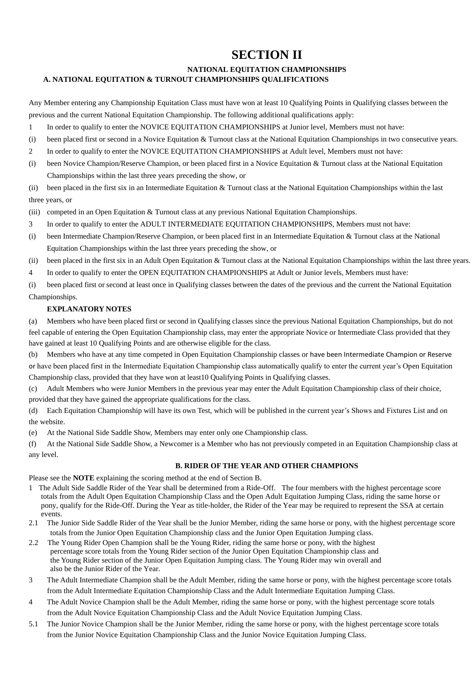# **SECTION II**

# **NATIONAL EQUITATION CHAMPIONSHIPS A. NATIONAL EQUITATION & TURNOUT CHAMPIONSHIPS QUALIFICATIONS**

Any Member entering any Championship Equitation Class must have won at least 10 Qualifying Points in Qualifying classes between the previous and the current National Equitation Championship. The following additional qualifications apply:

- 1 In order to qualify to enter the NOVICE EQUITATION CHAMPIONSHIPS at Junior level, Members must not have:
- (i) been placed first or second in a Novice Equitation & Turnout class at the National Equitation Championships in two consecutive years.
- 2 In order to qualify to enter the NOVICE EQUITATION CHAMPIONSHIPS at Adult level, Members must not have:
- (i) been Novice Champion/Reserve Champion, or been placed first in a Novice Equitation & Turnout class at the National Equitation Championships within the last three years preceding the show, or

(ii) been placed in the first six in an Intermediate Equitation & Turnout class at the National Equitation Championships within the last three years, or

(iii) competed in an Open Equitation & Turnout class at any previous National Equitation Championships.

- 3 In order to qualify to enter the ADULT INTERMEDIATE EQUITATION CHAMPIONSHIPS, Members must not have:
- (i) been Intermediate Champion/Reserve Champion, or been placed first in an Intermediate Equitation & Turnout class at the National Equitation Championships within the last three years preceding the show, or
- (ii) been placed in the first six in an Adult Open Equitation & Turnout class at the National Equitation Championships within the last three years.
- 4 In order to qualify to enter the OPEN EQUITATION CHAMPIONSHIPS at Adult or Junior levels, Members must have:

(i) been placed first or second at least once in Qualifying classes between the dates of the previous and the current the National Equitation Championships.

# **EXPLANATORY NOTES**

(a) Members who have been placed first or second in Qualifying classes since the previous National Equitation Championships, but do not feel capable of entering the Open Equitation Championship class, may enter the appropriate Novice or Intermediate Class provided that they have gained at least 10 Qualifying Points and are otherwise eligible for the class.

(b) Members who have at any time competed in Open Equitation Championship classes or have been Intermediate Champion or Reserve or have been placed first in the Intermediate Equitation Championship class automatically qualify to enter the current year's Open Equitation Championship class, provided that they have won at least10 Qualifying Points in Qualifying classes.

(c) Adult Members who were Junior Members in the previous year may enter the Adult Equitation Championship class of their choice, provided that they have gained the appropriate qualifications for the class.

(d) Each Equitation Championship will have its own Test, which will be published in the current year's Shows and Fixtures List and on the website.

(e) At the National Side Saddle Show, Members may enter only one Championship class.

(f) At the National Side Saddle Show, a Newcomer is a Member who has not previously competed in an Equitation Championship class at any level.

### **B. RIDER OF THE YEAR AND OTHER CHAMPIONS**

Please see the **NOTE** explaining the scoring method at the end of Section B.

- 1 The Adult Side Saddle Rider of the Year shall be determined from a Ride-Off. The four members with the highest percentage score totals from the Adult Open Equitation Championship Class and the Open Adult Equitation Jumping Class, riding the same horse or pony, qualify for the Ride-Off. During the Year as title-holder, the Rider of the Year may be required to represent the SSA at certain events.
- 2.1 The Junior Side Saddle Rider of the Year shall be the Junior Member, riding the same horse or pony, with the highest percentage score totals from the Junior Open Equitation Championship class and the Junior Open Equitation Jumping class.
- 2.2 The Young Rider Open Champion shall be the Young Rider, riding the same horse or pony, with the highest percentage score totals from the Young Rider section of the Junior Open Equitation Championship class and the Young Rider section of the Junior Open Equitation Jumping class. The Young Rider may win overall and also be the Junior Rider of the Year.
- 3 The Adult Intermediate Champion shall be the Adult Member, riding the same horse or pony, with the highest percentage score totals from the Adult Intermediate Equitation Championship Class and the Adult Intermediate Equitation Jumping Class.
- 4 The Adult Novice Champion shall be the Adult Member, riding the same horse or pony, with the highest percentage score totals from the Adult Novice Equitation Championship Class and the Adult Novice Equitation Jumping Class.
- 5.1 The Junior Novice Champion shall be the Junior Member, riding the same horse or pony, with the highest percentage score totals from the Junior Novice Equitation Championship Class and the Junior Novice Equitation Jumping Class.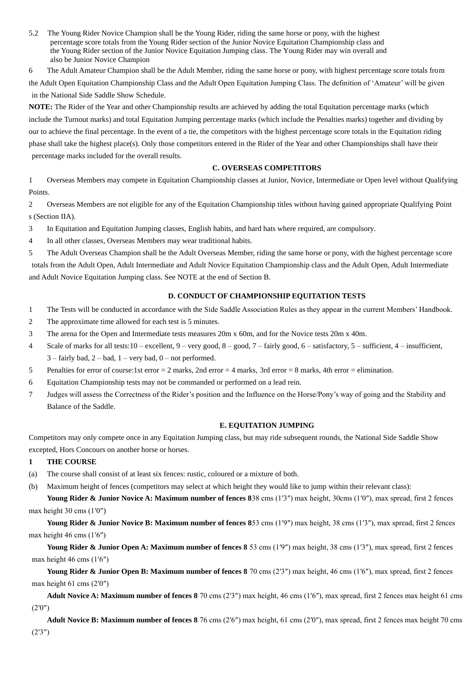5.2 The Young Rider Novice Champion shall be the Young Rider, riding the same horse or pony, with the highest percentage score totals from the Young Rider section of the Junior Novice Equitation Championship class and the Young Rider section of the Junior Novice Equitation Jumping class. The Young Rider may win overall and also be Junior Novice Champion

6 The Adult Amateur Champion shall be the Adult Member, riding the same horse or pony, with highest percentage score totals from the Adult Open Equitation Championship Class and the Adult Open Equitation Jumping Class. The definition of 'Amateur' will be given in the National Side Saddle Show Schedule.

**NOTE:** The Rider of the Year and other Championship results are achieved by adding the total Equitation percentage marks (which include the Turnout marks) and total Equitation Jumping percentage marks (which include the Penalties marks) together and dividing by our to achieve the final percentage. In the event of a tie, the competitors with the highest percentage score totals in the Equitation riding phase shall take the highest place(s). Only those competitors entered in the Rider of the Year and other Championships shall have their percentage marks included for the overall results.

### **C. OVERSEAS COMPETITORS**

1 Overseas Members may compete in Equitation Championship classes at Junior, Novice, Intermediate or Open level without Qualifying Points.

2 Overseas Members are not eligible for any of the Equitation Championship titles without having gained appropriate Qualifying Point s (Section IIA).

- 3 In Equitation and Equitation Jumping classes, English habits, and hard hats where required, are compulsory.
- 4 In all other classes, Overseas Members may wear traditional habits.

5 The Adult Overseas Champion shall be the Adult Overseas Member, riding the same horse or pony, with the highest percentage score totals from the Adult Open, Adult Intermediate and Adult Novice Equitation Championship class and the Adult Open, Adult Intermediate and Adult Novice Equitation Jumping class. See NOTE at the end of Section B.

# **D. CONDUCT OF CHAMPIONSHIP EQUITATION TESTS**

- 1 The Tests will be conducted in accordance with the Side Saddle Association Rules as they appear in the current Members' Handbook.
- 2 The approximate time allowed for each test is 5 minutes.
- 3 The arena for the Open and Intermediate tests measures 20m x 60m, and for the Novice tests 20m x 40m.
- 4 Scale of marks for all tests:10 excellent, 9 very good, 8 good, 7 fairly good, 6 satisfactory, 5 sufficient, 4 insufficient,  $3 -$  fairly bad,  $2 -$  bad,  $1 -$  very bad,  $0 -$  not performed.
- 5 Penalties for error of course:1st error = 2 marks, 2nd error = 4 marks, 3rd error = 8 marks, 4th error = elimination.
- 6 Equitation Championship tests may not be commanded or performed on a lead rein.
- 7 Judges will assess the Correctness of the Rider's position and the Influence on the Horse/Pony's way of going and the Stability and Balance of the Saddle.

### **E. EQUITATION JUMPING**

Competitors may only compete once in any Equitation Jumping class, but may ride subsequent rounds, the National Side Saddle Show excepted, Hors Concours on another horse or horses.

#### **1 THE COURSE**

- (a) The course shall consist of at least six fences: rustic, coloured or a mixture of both.
- (b) Maximum height of fences (competitors may select at which height they would like to jump within their relevant class):

**Young Rider & Junior Novice A: Maximum number of fences 8**38 cms (1′3″) max height, 30cms (1′0″), max spread, first 2 fences max height 30 cms (1′0″)

**Young Rider & Junior Novice B: Maximum number of fences 8**53 cms (1′9″) max height, 38 cms (1′3″), max spread, first 2 fences max height 46 cms (1′6″)

Young Rider & Junior Open A: Maximum number of fences 8 53 cms (1'9") max height, 38 cms (1'3"), max spread, first 2 fences max height 46 cms (1′6″)

Young Rider & Junior Open B: Maximum number of fences 8 70 cms (2'3") max height, 46 cms (1'6"), max spread, first 2 fences max height 61 cms (2′0″)

**Adult Novice A: Maximum number of fences 8** 70 cms (2′3″) max height, 46 cms (1′6″), max spread, first 2 fences max height 61 cms (2′0″)

**Adult Novice B: Maximum number of fences 8** 76 cms (2′6″) max height, 61 cms (2′0″), max spread, first 2 fences max height 70 cms (2′3″)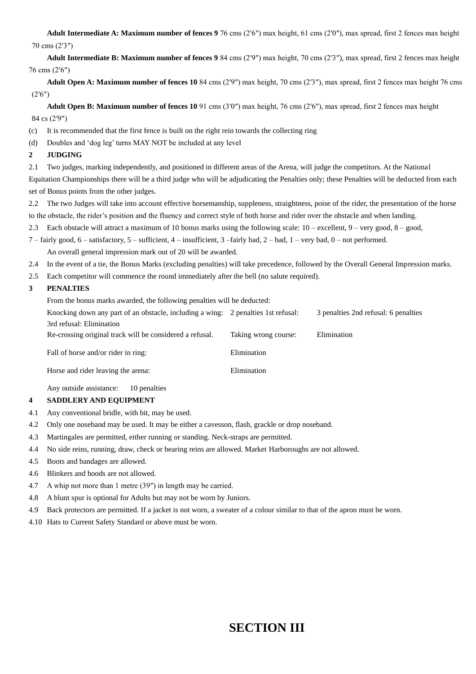**Adult Intermediate A: Maximum number of fences 9** 76 cms (2′6″) max height, 61 cms (2′0″), max spread, first 2 fences max height 70 cms (2′3″)

**Adult Intermediate B: Maximum number of fences 9** 84 cms (2′9″) max height, 70 cms (2′3″), max spread, first 2 fences max height 76 cms (2′6″)

**Adult Open A: Maximum number of fences 10** 84 cms (2′9″) max height, 70 cms (2′3″), max spread, first 2 fences max height 76 cms (2′6″)

**Adult Open B: Maximum number of fences 10** 91 cms (3′0″) max height, 76 cms (2′6″), max spread, first 2 fences max height 84 cs (2′9″)

(c) It is recommended that the first fence is built on the right rein towards the collecting ring

(d) Doubles and 'dog leg' turns MAY NOT be included at any level

### **2 JUDGING**

2.1 Two judges, marking independently, and positioned in different areas of the Arena, will judge the competitors. At the National

Equitation Championships there will be a third judge who will be adjudicating the Penalties only; these Penalties will be deducted from each set of Bonus points from the other judges.

2.2 The two Judges will take into account effective horsemanship, suppleness, straightness, poise of the rider, the presentation of the horse to the obstacle, the rider's position and the fluency and correct style of both horse and rider over the obstacle and when landing.

2.3 Each obstacle will attract a maximum of 10 bonus marks using the following scale: 10 – excellent, 9 – very good, 8 – good,

7 – fairly good, 6 – satisfactory, 5 – sufficient, 4 – insufficient, 3 –fairly bad, 2 – bad, 1 – very bad, 0 – not performed.

An overall general impression mark out of 20 will be awarded.

- 2.4 In the event of a tie, the Bonus Marks (excluding penalties) will take precedence, followed by the Overall General Impression marks.
- 2.5 Each competitor will commence the round immediately after the bell (no salute required).

# **3 PENALTIES**

From the bonus marks awarded, the following penalties will be deducted:

| Knocking down any part of an obstacle, including a wing: 2 penalties 1st refusal: |                      | 3 penalties 2nd refusal: 6 penalties |
|-----------------------------------------------------------------------------------|----------------------|--------------------------------------|
| 3rd refusal: Elimination                                                          |                      |                                      |
| Re-crossing original track will be considered a refusal.                          | Taking wrong course: | Elimination                          |
| Fall of horse and/or rider in ring:                                               | Elimination          |                                      |
| Horse and rider leaving the arena:                                                | Elimination          |                                      |
|                                                                                   |                      |                                      |

Any outside assistance: 10 penalties

# **4 SADDLERY AND EQUIPMENT**

- 4.1 Any conventional bridle, with bit, may be used.
- 4.2 Only one noseband may be used. It may be either a cavesson, flash, grackle or drop noseband.
- 4.3 Martingales are permitted, either running or standing. Neck-straps are permitted.
- 4.4 No side reins, running, draw, check or bearing reins are allowed. Market Harboroughs are not allowed.
- 4.5 Boots and bandages are allowed.
- 4.6 Blinkers and hoods are not allowed.
- 4.7 A whip not more than 1 metre (39″) in length may be carried.
- 4.8 A blunt spur is optional for Adults but may not be worn by Juniors.
- 4.9 Back protectors are permitted. If a jacket is not worn, a sweater of a colour similar to that of the apron must be worn.
- 4.10 Hats to Current Safety Standard or above must be worn.

# **SECTION III**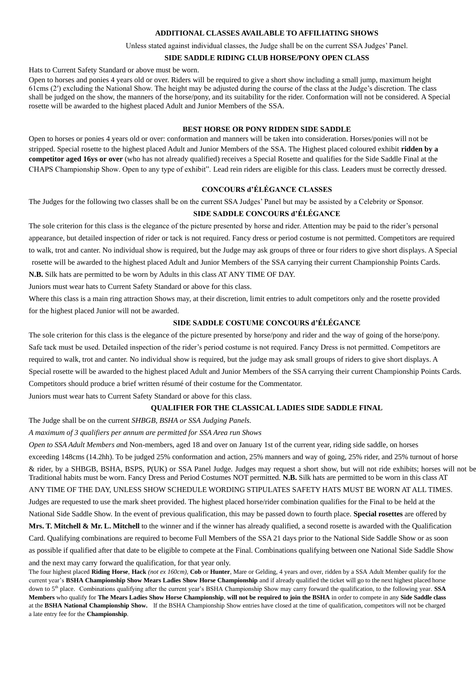### **ADDITIONAL CLASSES AVAILABLE TO AFFILIATING SHOWS**

Unless stated against individual classes, the Judge shall be on the current SSA Judges' Panel.

# **SIDE SADDLE RIDING CLUB HORSE/PONY OPEN CLASS**

Hats to Current Safety Standard or above must be worn.

Open to horses and ponies 4 years old or over. Riders will be required to give a short show including a small jump, maximum height 61cms (2′) excluding the National Show. The height may be adjusted during the course of the class at the Judge's discretion. The class shall be judged on the show, the manners of the horse/pony, and its suitability for the rider. Conformation will not be considered. A Special rosette will be awarded to the highest placed Adult and Junior Members of the SSA.

### **BEST HORSE OR PONY RIDDEN SIDE SADDLE**

Open to horses or ponies 4 years old or over: conformation and manners will be taken into consideration. Horses/ponies will not be stripped. Special rosette to the highest placed Adult and Junior Members of the SSA. The Highest placed coloured exhibit **ridden by a competitor aged 16ys or over** (who has not already qualified) receives a Special Rosette and qualifies for the Side Saddle Final at the CHAPS Championship Show. Open to any type of exhibit". Lead rein riders are eligible for this class. Leaders must be correctly dressed.

# **CONCOURS d'ÉLÉGANCE CLASSES**

The Judges for the following two classes shall be on the current SSA Judges' Panel but may be assisted by a Celebrity or Sponsor.

### **SIDE SADDLE CONCOURS d'ÉLÉGANCE**

The sole criterion for this class is the elegance of the picture presented by horse and rider. Attention may be paid to the rider's personal appearance, but detailed inspection of rider or tack is not required. Fancy dress or period costume is not permitted. Competitors are required to walk, trot and canter. No individual show is required, but the Judge may ask groups of three or four riders to give short displays. A Special rosette will be awarded to the highest placed Adult and Junior Members of the SSA carrying their current Championship Points Cards.

**N.B.** Silk hats are permitted to be worn by Adults in this class AT ANY TIME OF DAY.

Juniors must wear hats to Current Safety Standard or above for this class.

Where this class is a main ring attraction Shows may, at their discretion, limit entries to adult competitors only and the rosette provided for the highest placed Junior will not be awarded.

# **SIDE SADDLE COSTUME CONCOURS d'ÉLÉGANCE**

The sole criterion for this class is the elegance of the picture presented by horse/pony and rider and the way of going of the horse/pony. Safe tack must be used. Detailed inspection of the rider's period costume is not required. Fancy Dress is not permitted. Competitors are required to walk, trot and canter. No individual show is required, but the judge may ask small groups of riders to give short displays. A Special rosette will be awarded to the highest placed Adult and Junior Members of the SSA carrying their current Championship Points Cards. Competitors should produce a brief written résumé of their costume for the Commentator.

Juniors must wear hats to Current Safety Standard or above for this class.

### **QUALIFIER FOR THE CLASSICAL LADIES SIDE SADDLE FINAL**

The Judge shall be on the current *SHBGB, BSHA or SSA Judging Panels.*

*A maximum of 3 qualifiers per annum are permitted for SSA Area run Shows*

*Open to SSA Adult Members a*nd Non-members, aged 18 and over on January 1st of the current year, riding side saddle, on horses exceeding 148cms (14.2hh). To be judged 25% conformation and action, 25% manners and way of going, 25% rider, and 25% turnout of horse & rider, by a SHBGB, BSHA, BSPS, P(UK) or SSA Panel Judge. Judges may request a short show, but will not ride exhibits; horses will not be Traditional habits must be worn. Fancy Dress and Period Costumes NOT permitted. **N.B.** Silk hats are permitted to be worn in this class AT ANY TIME OF THE DAY, UNLESS SHOW SCHEDULE WORDING STIPULATES SAFETY HATS MUST BE WORN AT ALL TIMES. Judges are requested to use the mark sheet provided. The highest placed horse/rider combination qualifies for the Final to be held at the National Side Saddle Show. In the event of previous qualification, this may be passed down to fourth place. **Special rosettes** are offered by **Mrs. T. Mitchell & Mr. L. Mitchell** to the winner and if the winner has already qualified, a second rosette is awarded with the Qualification Card. Qualifying combinations are required to become Full Members of the SSA 21 days prior to the National Side Saddle Show or as soon as possible if qualified after that date to be eligible to compete at the Final. Combinations qualifying between one National Side Saddle Show

and the next may carry forward the qualification, for that year only.

The four highest placed **Riding Horse**, **Hack** *(not ex 160cm)*, **Cob** or **Hunter**, Mare or Gelding, 4 years and over, ridden by a SSA Adult Member qualify for the current year's **BSHA Championship Show Mears Ladies Show Horse Championship** and if already qualified the ticket will go to the next highest placed horse down to 5<sup>th</sup> place. Combinations qualifying after the current year's BSHA Championship Show may carry forward the qualification, to the following year. **SSA Members** who qualify for **The Mears Ladies Show Horse Championship**, **will not be required to join the BSHA** in order to compete in any **Side Saddle class** at the **BSHA National Championship Show.** If the BSHA Championship Show entries have closed at the time of qualification, competitors will not be charged a late entry fee for the **Championship**.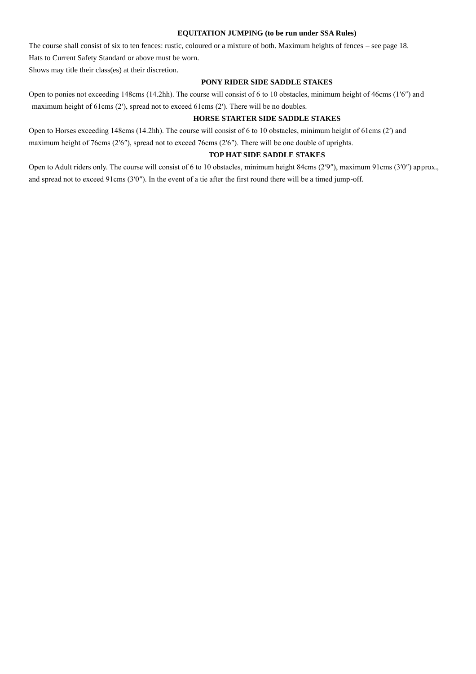#### **EQUITATION JUMPING (to be run under SSA Rules)**

The course shall consist of six to ten fences: rustic, coloured or a mixture of both. Maximum heights of fences – see page 18. Hats to Current Safety Standard or above must be worn.

Shows may title their class(es) at their discretion.

### **PONY RIDER SIDE SADDLE STAKES**

Open to ponies not exceeding 148cms (14.2hh). The course will consist of 6 to 10 obstacles, minimum height of 46cms (1′6″) and maximum height of 61cms (2′), spread not to exceed 61cms (2′). There will be no doubles.

# **HORSE STARTER SIDE SADDLE STAKES**

Open to Horses exceeding 148cms (14.2hh). The course will consist of 6 to 10 obstacles, minimum height of 61cms (2′) and maximum height of 76cms (2′6″), spread not to exceed 76cms (2′6″). There will be one double of uprights.

### **TOP HAT SIDE SADDLE STAKES**

Open to Adult riders only. The course will consist of 6 to 10 obstacles, minimum height 84cms (2′9″), maximum 91cms (3′0″) approx., and spread not to exceed 91cms (3′0″). In the event of a tie after the first round there will be a timed jump-off.